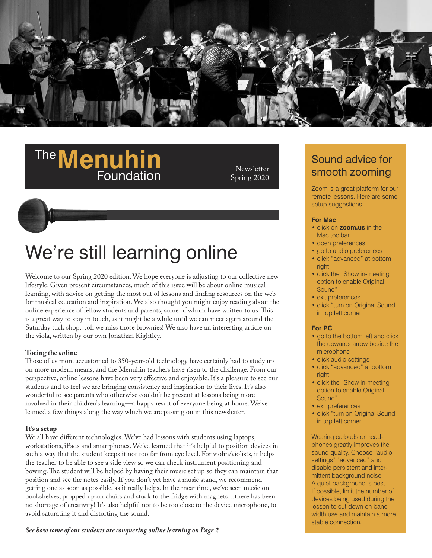

### **The Menuhin Foundation**

**Newsletter** Spring 2020

## We're still learning online

Welcome to our Spring 2020 edition. We hope everyone is adjusting to our collective new lifestyle. Given present circumstances, much of this issue will be about online musical learning, with advice on getting the most out of lessons and finding resources on the web for musical education and inspiration. We also thought you might enjoy reading about the online experience of fellow students and parents, some of whom have written to us. This is a great way to stay in touch, as it might be a while until we can meet again around the Saturday tuck shop…oh we miss those brownies! We also have an interesting article on the viola, written by our own Jonathan Kightley.

#### **Toeing the** *on***line**

Those of us more accustomed to 350-year-old technology have certainly had to study up on more modern means, and the Menuhin teachers have risen to the challenge. From our perspective, online lessons have been very effective and enjoyable. It's a pleasure to see our students and to feel we are bringing consistency and inspiration to their lives. It's also wonderful to see parents who otherwise couldn't be present at lessons being more involved in their children's learning—a happy result of everyone being at home. We've learned a few things along the way which we are passing on in this newsletter.

**It's a setup**  We all have different technologies. We've had lessons with students using laptops, workstations, iPads and smartphones. We've learned that it's helpful to position devices in such a way that the student keeps it not too far from eye level. For violin/violists, it helps the teacher to be able to see a side view so we can check instrument positioning and bowing. The student will be helped by having their music set up so they can maintain that position and see the notes easily. If you don't yet have a music stand, we recommend getting one as soon as possible, as it really helps. In the meantime, we've seen music on bookshelves, propped up on chairs and stuck to the fridge with magnets…there has been no shortage of creativity! It's also helpful not to be too close to the device microphone, to avoid saturating it and distorting the sound.

#### *See how some of our students are conquering online learning on Page 2*

Sound advice for smooth zooming

Zoom is a great platform for our remote lessons. Here are some setup suggestions:

#### **For Mac**

- click on **[zoom.us](http://zoom.us/)** in the Mac toolbar
- open preferences
- go to audio preferences
- click "advanced" at bottom right
- click the "Show in-meeting option to enable Original Sound"
- exit preferences
- click "turn on Original Sound" in top left corner

#### **For PC**

- go to the bottom left and click the upwards arrow beside the microphone
- click audio settings
- click "advanced" at bottom right
- click the "Show in-meeting option to enable Original Sound"
- exit preferences
- click "turn on Original Sound" in top left corner

Wearing earbuds or headphones greatly improves the sound quality. Choose "audio settings" "advanced" and disable persistent and inter mittent background noise. A quiet background is best. If possible, limit the number of devices being used during the lesson to cut down on bandwidth use and maintain a more stable connection.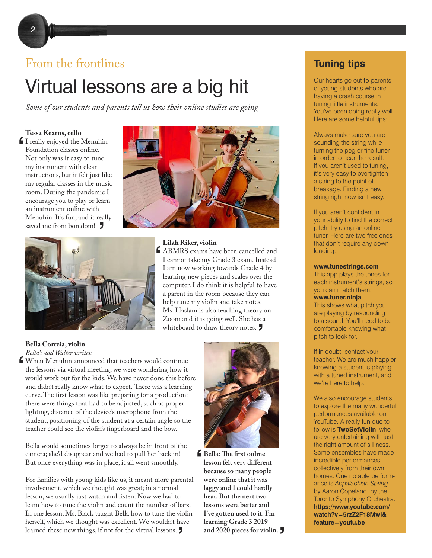#### From the frontlines

## Virtual lessons are a big hit

*Some of our students and parents tell us how their online studies are going*

I really enjoyed the Menuhin<br>
Foundation classes online.<br>
Not only was it easy to tune Foundation classes online. Not only was it easy to tune my instrument with clear instructions, but it felt just like my regular classes in the music room. During the pandemic I encourage you to play or learn an instrument online with Menuhin. It's fun, and it really saved me from boredom! **'**





LABMRS exams have been cancelled and<br>
I cannot take my Grade 3 exam. Instead<br>
I am now working towards Grade 4 by I cannot take my Grade 3 exam. Instead I am now working towards Grade 4 by learning new pieces and scales over the computer. I do think it is helpful to have a parent in the room because they can help tune my violin and take notes. Ms. Haslam is also teaching theory on Zoom and it is going well. She has a whiteboard to draw theory notes. **'**

**Bella Correia, violin**  *Bella's dad Walter writes:* 

When Menuhin announced that teachers would continue **'** the lessons via virtual meeting, we were wondering how it would work out for the kids. We have never done this before and didn't really know what to expect. There was a learning curve. The first lesson was like preparing for a production: there were things that had to be adjusted, such as proper lighting, distance of the device's microphone from the student, positioning of the student at a certain angle so the teacher could see the violin's fingerboard and the bow.

Bella would sometimes forget to always be in front of the camera; she'd disappear and we had to pull her back in! But once everything was in place, it all went smoothly.

For families with young kids like us, it meant more parental involvement, which we thought was great; in a normal lesson, we usually just watch and listen. Now we had to learn how to tune the violin and count the number of bars. In one lesson, Ms. Black taught Bella how to tune the violin herself, which we thought was excellent. We wouldn't have learned these new things, if not for the virtual lessons.



**Bella: The first online ' lesson felt very different because so many people were online that it was laggy and I could hardly hear. But the next two lessons were better and I've gotten used to it. I'm learning Grade 3 2019 h** and 2020 pieces for violin.

#### **Tuning tips**

Our hearts go out to parents of young students who are having a crash course in tuning little instruments. You've been doing really well. Here are some helpful tips:

Always make sure you are sounding the string while turning the peg or fine tuner, in order to hear the result. If you aren't used to tuning, it's very easy to overtighten a string to the point of breakage. Finding a new string right now isn't easy.

If you aren't confident in your ability to find the correct pitch, try using an online tuner. Here are two free ones that don't require any downloading:

#### **[www.tunestrings.com](https://www.tunestrings.com/)**

This app plays the tones for each instrument's strings, so you can match them. **[www.tuner.ninja](https://tuner.ninja/)** 

This shows what pitch you are playing by responding to a sound. You'll need to be comfortable knowing what pitch to look for.

If in doubt, contact your teacher. We are much happier knowing a student is playing with a tuned instrument, and we're here to help.

We also encourage students to explore the many wonderful performances available on YouTube. A really fun duo to follow is **TwoSetViolin**, who are very entertaining with just the right amount of silliness. Some ensembles have made incredible performances collectively from their own homes. One notable performance is *Appalachian Spring* by Aaron Copeland, by the Toronto Symphony Orchestra: **[https://www.youtube.com/](https://www.youtube.com/watch?v=5rzZ2F18Mwl&feature=youtu.be) watch?v=5rzZ2F18MwI& feature=youtu.be**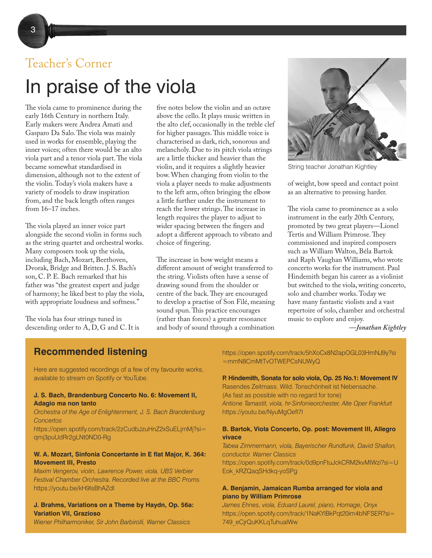# Teacher's Corner

## In praise of the viola

The viola came to prominence during the early 16th Century in northern Italy. Early makers were Andrea Amati and Gasparo Da Salo. The viola was mainly used in works for ensemble, playing the inner voices; often there would be an alto viola part and a tenor viola part. The viola became somewhat standardised in dimension, although not to the extent of the violin. Today's viola makers have a variety of models to draw inspiration from, and the back length often ranges from 16–17 inches.

The viola played an inner voice part alongside the second violin in forms such as the string quartet and orchestral works. Many composers took up the viola, including Bach, Mozart, Beethoven, Dvorak, Bridge and Britten. J. S. Bach's son, C. P. E. Bach remarked that his father was "the greatest expert and judge of harmony; he liked best to play the viola, with appropriate loudness and softness."

The viola has four strings tuned in descending order to A, D, G and C. It is five notes below the violin and an octave above the cello. It plays music written in the alto clef, occasionally in the treble clef for higher passages. This middle voice is characterised as dark, rich, sonorous and melancholy. Due to its pitch viola strings are a little thicker and heavier than the violin, and it requires a slightly heavier bow. When changing from violin to the viola a player needs to make adjustments to the left arm, often bringing the elbow a little further under the instrument to reach the lower strings. The increase in length requires the player to adjust to wider spacing between the fingers and adopt a different approach to vibrato and choice of fingering.

The increase in bow weight means a different amount of weight transferred to the string. Violists often have a sense of drawing sound from the shoulder or centre of the back. They are encouraged to develop a practise of Son Filé, meaning sound spun. This practice encourages (rather than forces) a greater resonance and body of sound through a combination



String teacher Jonathan Kightley

of weight, bow speed and contact point as an alternative to pressing harder.

The viola came to prominence as a solo instrument in the early 20th Century, promoted by two great players—Lionel Tertis and William Primrose. They commissioned and inspired composers such as William Walton, Béla Bartok and Raph Vaughan Williams, who wrote concerto works for the instrument. Paul Hindemith began his career as a violinist but switched to the viola, writing concerto, solo and chamber works. Today we have many fantastic violists and a vast repertoire of solo, chamber and orchestral music to explore and enjoy.

*—Jonathan Kightley*

#### **Recommended listening**

Here are suggested recordings of a few of my favourite works, available to stream on Spotify or YouTube.

#### **J. S. Bach, Brandenburg Concerto No. 6: Movement II, Adagio ma non tanto**

#### *Orchestra of the Age of Enlightenment, J. S. Bach Brandenburg Concertos*

[https://open.spotify.com/track/2zCudbJzuHnZ2xSuELjmMj?si=](https://open.spotify.com/track/2zCudbJzuHnZ2xSuELjmMj?si=qmj3puUdRr2gLNt0ND0-Rg) [qmj3puUdRr2gLNt0ND0-Rg](https://open.spotify.com/track/2zCudbJzuHnZ2xSuELjmMj?si=qmj3puUdRr2gLNt0ND0-Rg) 

#### **W. A. Mozart, Sinfonia Concertante in E flat Major, K. 364: Movement III, Presto**

*Maxim Vengerov, violin, Lawrence Power, viola, UBS Verbier Festival Chamber Orchestra. Recorded live at the BBC Proms* <https://youtu.be/kH9IsBhAZdI>

#### **J. Brahms, Variations on a Theme by Haydn, Op. 56a: Variation VII, Grazioso**

*Wiener Philharmoniker, Sir John Barbirolli, Warner Classics* 

[https://open.spotify.com/track/5hXoCx8N2apOGL03HmNJ9y?si](https://open.spotify.com/track/5hXoCx8N2apOGL03HmNJ9y?si=mmN8CmMtTvOTWEPCsNUWyQ) [=mmN8CmMtTvOTWEPCsNUWyQ](https://open.spotify.com/track/5hXoCx8N2apOGL03HmNJ9y?si=mmN8CmMtTvOTWEPCsNUWyQ) 

#### **P. Hindemith, Sonata for solo viola, Op. 25 No.1: Movement IV**

Rasendes Zeitmass. Wild. Tonschönheit ist Nebensache. (As fast as possible with no regard for tone) *Antione Tamastit, viola, hr-Sinfonieorchester, Alte Oper Frankfurt*  <https://youtu.be/NyuMgOefl7I>

#### **B. Bartok, Viola Concerto, Op. post: Movement III, Allegro vivace**

*Tabea Zimmermann, viola, Bayerischer Rundfunk, David Shallon, conductor. Warner Classics* 

[https://open.spotify.com/track/0d9pnFtuJckCRM2kvMIWzi?si=U](https://open.spotify.com/track/0d9pnFtuJckCRM2kvMIWzi?si=UEok_kRZQaqSHdkq-yoSPg) [Eok\\_kRZQaqSHdkq-yoSPg](https://open.spotify.com/track/0d9pnFtuJckCRM2kvMIWzi?si=UEok_kRZQaqSHdkq-yoSPg) 

#### **A. Benjamin, Jamaican Rumba arranged for viola and piano by William Primrose**

*James Ehnes, viola, Eduard Laurel, piano, Homage, Onyx*  [https://open.spotify.com/track/1NaKYlBkPqt20im4bNFSER?si=](https://open.spotify.com/track/1NaKYlBkPqt20im4bNFSER?si=749_eCjrQuKKLqTuhuaIWw) [749\\_eCjrQuKKLqTuhuaIWw](https://open.spotify.com/track/1NaKYlBkPqt20im4bNFSER?si=749_eCjrQuKKLqTuhuaIWw)